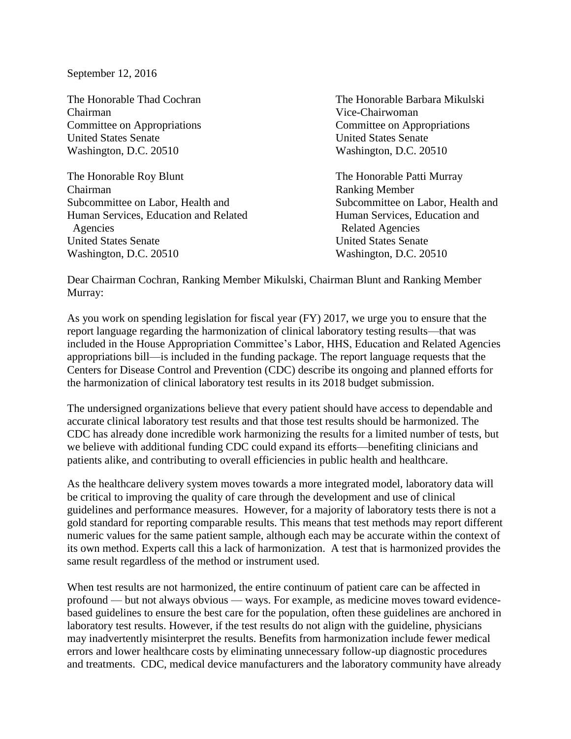September 12, 2016

Chairman Vice-Chairwoman Committee on Appropriations Committee on Appropriations United States Senate United States Senate Washington, D.C. 20510 Washington, D.C. 20510

The Honorable Roy Blunt The Honorable Patti Murray Chairman Ranking Member Subcommittee on Labor, Health and Subcommittee on Labor, Health and Human Services, Education and Related Human Services, Education and Agencies Related Agencies United States Senate United States Senate Washington, D.C. 20510 Washington, D.C. 20510

The Honorable Thad Cochran The Honorable Barbara Mikulski

Dear Chairman Cochran, Ranking Member Mikulski, Chairman Blunt and Ranking Member Murray:

As you work on spending legislation for fiscal year (FY) 2017, we urge you to ensure that the report language regarding the harmonization of clinical laboratory testing results—that was included in the House Appropriation Committee's Labor, HHS, Education and Related Agencies appropriations bill—is included in the funding package. The report language requests that the Centers for Disease Control and Prevention (CDC) describe its ongoing and planned efforts for the harmonization of clinical laboratory test results in its 2018 budget submission.

The undersigned organizations believe that every patient should have access to dependable and accurate clinical laboratory test results and that those test results should be harmonized. The CDC has already done incredible work harmonizing the results for a limited number of tests, but we believe with additional funding CDC could expand its efforts—benefiting clinicians and patients alike, and contributing to overall efficiencies in public health and healthcare.

As the healthcare delivery system moves towards a more integrated model, laboratory data will be critical to improving the quality of care through the development and use of clinical guidelines and performance measures. However, for a majority of laboratory tests there is not a gold standard for reporting comparable results. This means that test methods may report different numeric values for the same patient sample, although each may be accurate within the context of its own method. Experts call this a lack of harmonization. A test that is harmonized provides the same result regardless of the method or instrument used.

When test results are not harmonized, the entire continuum of patient care can be affected in profound — but not always obvious — ways. For example, as medicine moves toward evidencebased guidelines to ensure the best care for the population, often these guidelines are anchored in laboratory test results. However, if the test results do not align with the guideline, physicians may inadvertently misinterpret the results. Benefits from harmonization include fewer medical errors and lower healthcare costs by eliminating unnecessary follow-up diagnostic procedures and treatments. CDC, medical device manufacturers and the laboratory community have already